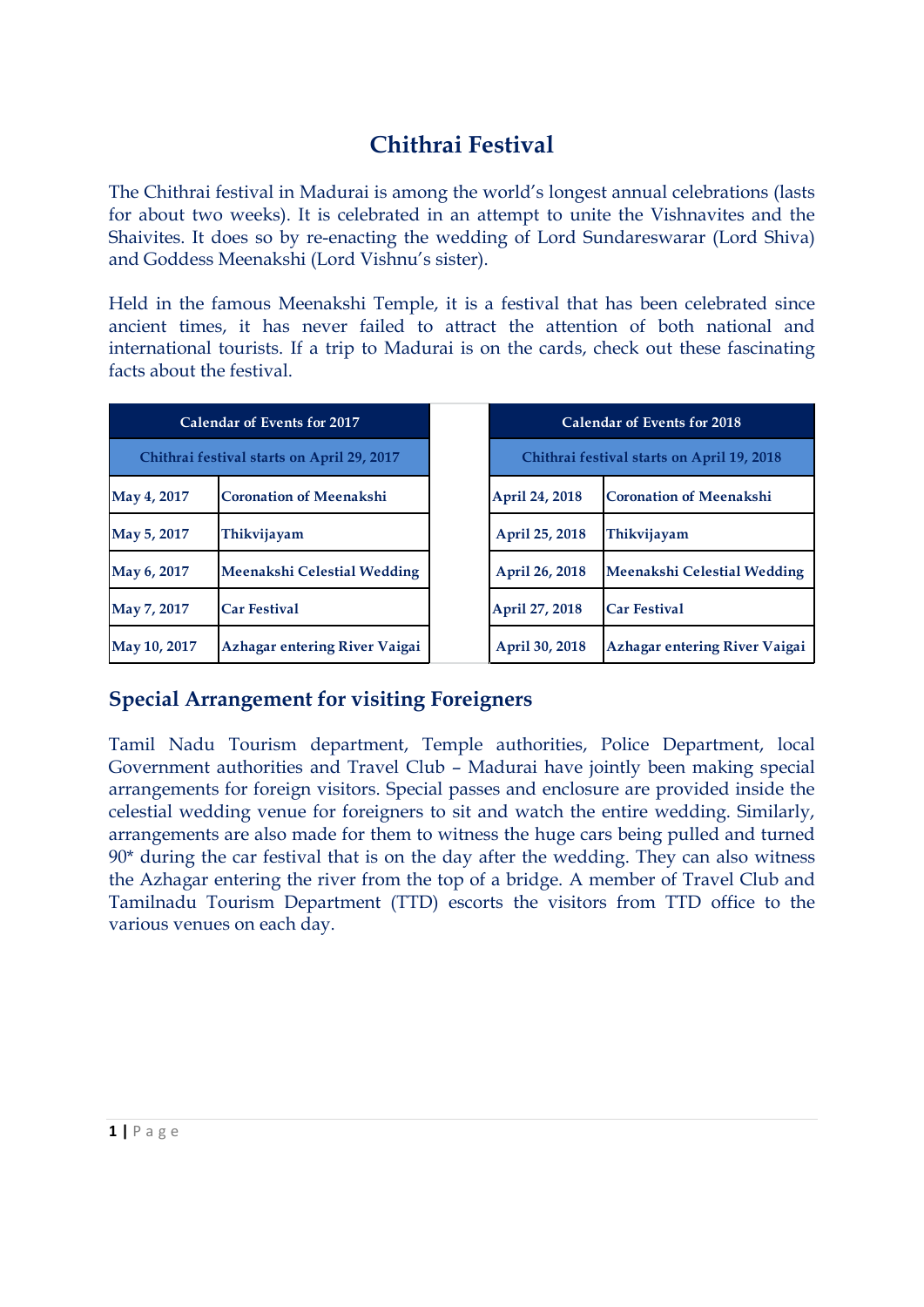# **Chithrai Festival**

The Chithrai festival in Madurai is among the world's longest annual celebrations (lasts for about two weeks). It is celebrated in an attempt to unite the Vishnavites and the Shaivites. It does so by re-enacting the wedding of Lord Sundareswarar (Lord Shiva) and Goddess Meenakshi (Lord Vishnu's sister).

Held in the famous Meenakshi Temple, it is a festival that has been celebrated since ancient times, it has never failed to attract the attention of both national and international tourists. If a trip to Madurai is on the cards, check out these fascinating facts about the festival.

| Calendar of Events for 2017                |                                      | <b>Calendar of Events for 2018</b>         |                                |
|--------------------------------------------|--------------------------------------|--------------------------------------------|--------------------------------|
| Chithrai festival starts on April 29, 2017 |                                      | Chithrai festival starts on April 19, 2018 |                                |
| May 4, 2017                                | <b>Coronation of Meenakshi</b>       | April 24, 2018                             | <b>Coronation of Meenakshi</b> |
| May 5, 2017                                | Thikvijayam                          | April 25, 2018                             | <b>Thikvijayam</b>             |
| May 6, 2017                                | Meenakshi Celestial Wedding          | April 26, 2018                             | Meenakshi Celestial Wedding    |
| May 7, 2017                                | <b>Car Festival</b>                  | April 27, 2018                             | <b>Car Festival</b>            |
| May 10, 2017                               | <b>Azhagar entering River Vaigai</b> | April 30, 2018                             | Azhagar entering River Vaigai  |

### **Special Arrangement for visiting Foreigners**

Tamil Nadu Tourism department, Temple authorities, Police Department, local Government authorities and Travel Club – Madurai have jointly been making special arrangements for foreign visitors. Special passes and enclosure are provided inside the celestial wedding venue for foreigners to sit and watch the entire wedding. Similarly, arrangements are also made for them to witness the huge cars being pulled and turned  $90*$  during the car festival that is on the day after the wedding. They can also witness the Azhagar entering the river from the top of a bridge. A member of Travel Club and Tamilnadu Tourism Department (TTD) escorts the visitors from TTD office to the various venues on each day.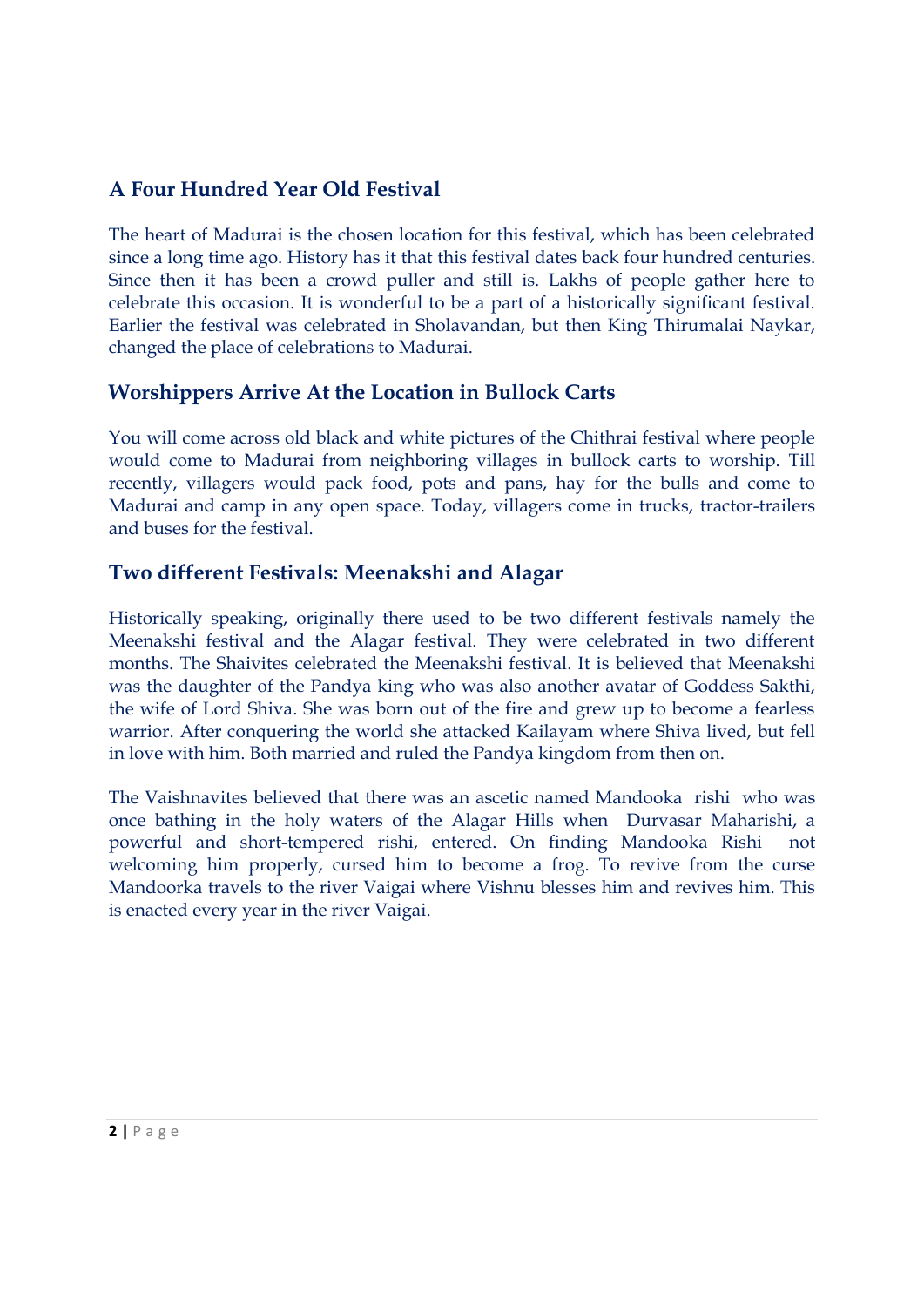## **A Four Hundred Year Old Festival**

The heart of Madurai is the chosen location for this festival, which has been celebrated since a long time ago. History has it that this festival dates back four hundred centuries. Since then it has been a crowd puller and still is. Lakhs of people gather here to celebrate this occasion. It is wonderful to be a part of a historically significant festival. Earlier the festival was celebrated in Sholavandan, but then King Thirumalai Naykar, changed the place of celebrations to Madurai.

#### **Worshippers Arrive At the Location in Bullock Carts**

You will come across old black and white pictures of the Chithrai festival where people would come to Madurai from neighboring villages in bullock carts to worship. Till recently, villagers would pack food, pots and pans, hay for the bulls and come to Madurai and camp in any open space. Today, villagers come in trucks, tractor-trailers and buses for the festival.

#### **Two different Festivals: Meenakshi and Alagar**

Historically speaking, originally there used to be two different festivals namely the Meenakshi festival and the Alagar festival. They were celebrated in two different months. The Shaivites celebrated the Meenakshi festival. It is believed that Meenakshi was the daughter of the Pandya king who was also another avatar of Goddess Sakthi, the wife of Lord Shiva. She was born out of the fire and grew up to become a fearless warrior. After conquering the world she attacked Kailayam where Shiva lived, but fell in love with him. Both married and ruled the Pandya kingdom from then on.

The Vaishnavites believed that there was an ascetic named Mandooka rishi who was once bathing in the holy waters of the Alagar Hills when Durvasar Maharishi, a powerful and short-tempered rishi, entered. On finding Mandooka Rishi not welcoming him properly, cursed him to become a frog. To revive from the curse Mandoorka travels to the river Vaigai where Vishnu blesses him and revives him. This is enacted every year in the river Vaigai.